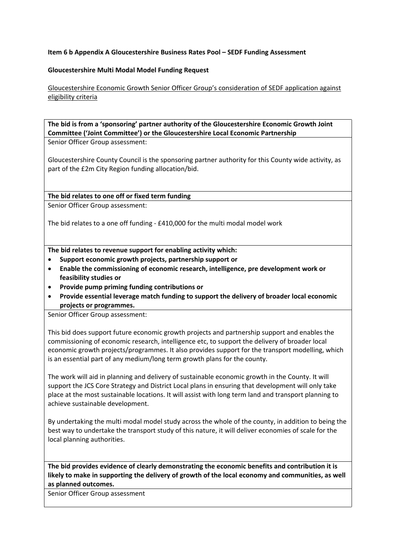## **Item 6 b Appendix A Gloucestershire Business Rates Pool – SEDF Funding Assessment**

## **Gloucestershire Multi Modal Model Funding Request**

Gloucestershire Economic Growth Senior Officer Group's consideration of SEDF application against eligibility criteria

**The bid is from a 'sponsoring' partner authority of the Gloucestershire Economic Growth Joint Committee ('Joint Committee') or the Gloucestershire Local Economic Partnership** Senior Officer Group assessment:

Gloucestershire County Council is the sponsoring partner authority for this County wide activity, as part of the £2m City Region funding allocation/bid.

**The bid relates to one off or fixed term funding**

Senior Officer Group assessment:

The bid relates to a one off funding - £410,000 for the multi modal model work

**The bid relates to revenue support for enabling activity which:**

- **Support economic growth projects, partnership support or**
- **Enable the commissioning of economic research, intelligence, pre development work or feasibility studies or**
- **Provide pump priming funding contributions or**
- **Provide essential leverage match funding to support the delivery of broader local economic projects or programmes.**

Senior Officer Group assessment:

This bid does support future economic growth projects and partnership support and enables the commissioning of economic research, intelligence etc, to support the delivery of broader local economic growth projects/programmes. It also provides support for the transport modelling, which is an essential part of any medium/long term growth plans for the county.

The work will aid in planning and delivery of sustainable economic growth in the County. It will support the JCS Core Strategy and District Local plans in ensuring that development will only take place at the most sustainable locations. It will assist with long term land and transport planning to achieve sustainable development.

By undertaking the multi modal model study across the whole of the county, in addition to being the best way to undertake the transport study of this nature, it will deliver economies of scale for the local planning authorities.

**The bid provides evidence of clearly demonstrating the economic benefits and contribution it is likely to make in supporting the delivery of growth of the local economy and communities, as well as planned outcomes.**

Senior Officer Group assessment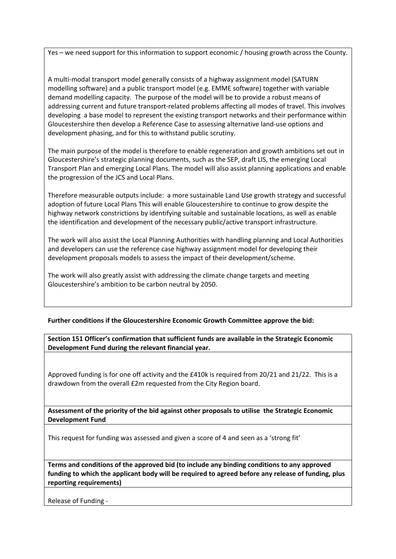Yes – we need support for this information to support economic / housing growth across the County.

A multi-modal transport model generally consists of a highway assignment model (SATURN modelling software) and a public transport model (e.g. EMME software) together with variable demand modelling capacity. The purpose of the model will be to provide a robust means of addressing current and future transport-related problems affecting all modes of travel. This involves developing a base model to represent the existing transport networks and their performance within Gloucestershire then develop a Reference Case to assessing alternative land-use options and development phasing, and for this to withstand public scrutiny.

The main purpose of the model is therefore to enable regeneration and growth ambitions set out in Gloucestershire's strategic planning documents, such as the SEP, draft LIS, the emerging Local Transport Plan and emerging Local Plans. The model will also assist planning applications and enable the progression of the JCS and Local Plans.

Therefore measurable outputs include: a more sustainable Land Use growth strategy and successful adoption of future Local Plans This will enable Gloucestershire to continue to grow despite the highway network constrictions by identifying suitable and sustainable locations, as well as enable the identification and development of the necessary public/active transport infrastructure.

The work will also assist the Local Planning Authorities with handling planning and Local Authorities and developers can use the reference case highway assignment model for developing their development proposals models to assess the impact of their development/scheme.

The work will also greatly assist with addressing the climate change targets and meeting Gloucestershire's ambition to be carbon neutral by 2050.

# **Further conditions if the Gloucestershire Economic Growth Committee approve the bid:**

**Section 151 Officer's confirmation that sufficient funds are available in the Strategic Economic Development Fund during the relevant financial year.**

Approved funding is for one off activity and the £410k is required from 20/21 and 21/22. This is a drawdown from the overall £2m requested from the City Region board.

**Assessment of the priority of the bid against other proposals to utilise the Strategic Economic Development Fund**

This request for funding was assessed and given a score of 4 and seen as a 'strong fit'

**Terms and conditions of the approved bid (to include any binding conditions to any approved funding to which the applicant body will be required to agreed before any release of funding, plus reporting requirements)**

Release of Funding -